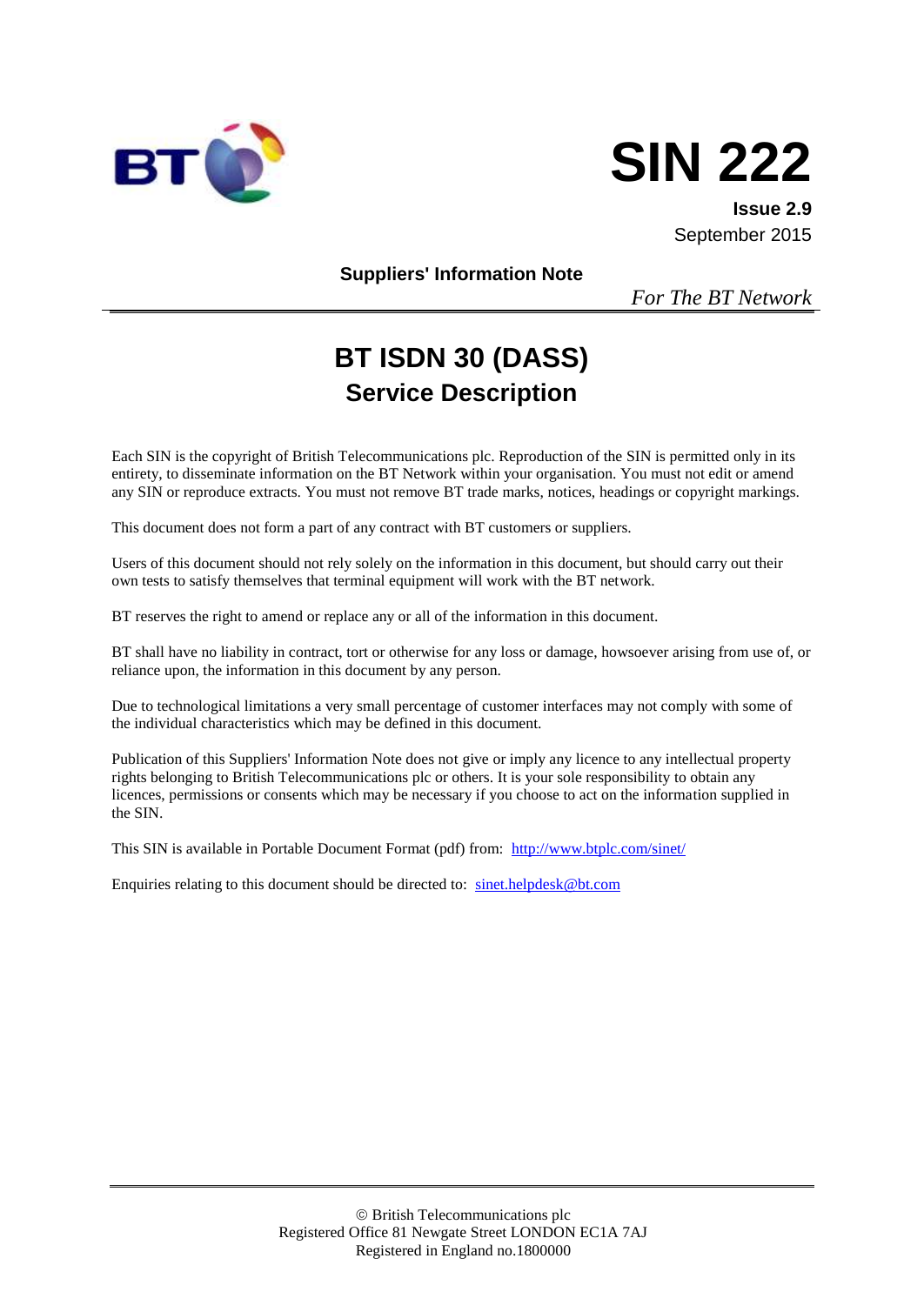



**Issue 2.9** September 2015

**Suppliers' Information Note**

*For The BT Network*

# **BT ISDN 30 (DASS) Service Description**

Each SIN is the copyright of British Telecommunications plc. Reproduction of the SIN is permitted only in its entirety, to disseminate information on the BT Network within your organisation. You must not edit or amend any SIN or reproduce extracts. You must not remove BT trade marks, notices, headings or copyright markings.

This document does not form a part of any contract with BT customers or suppliers.

Users of this document should not rely solely on the information in this document, but should carry out their own tests to satisfy themselves that terminal equipment will work with the BT network.

BT reserves the right to amend or replace any or all of the information in this document.

BT shall have no liability in contract, tort or otherwise for any loss or damage, howsoever arising from use of, or reliance upon, the information in this document by any person.

Due to technological limitations a very small percentage of customer interfaces may not comply with some of the individual characteristics which may be defined in this document.

Publication of this Suppliers' Information Note does not give or imply any licence to any intellectual property rights belonging to British Telecommunications plc or others. It is your sole responsibility to obtain any licences, permissions or consents which may be necessary if you choose to act on the information supplied in the SIN.

This SIN is available in Portable Document Format (pdf) from: <http://www.btplc.com/sinet/>

Enquiries relating to this document should be directed to: [sinet.helpdesk@bt.com](mailto:sinet.helpdesk@bt.com)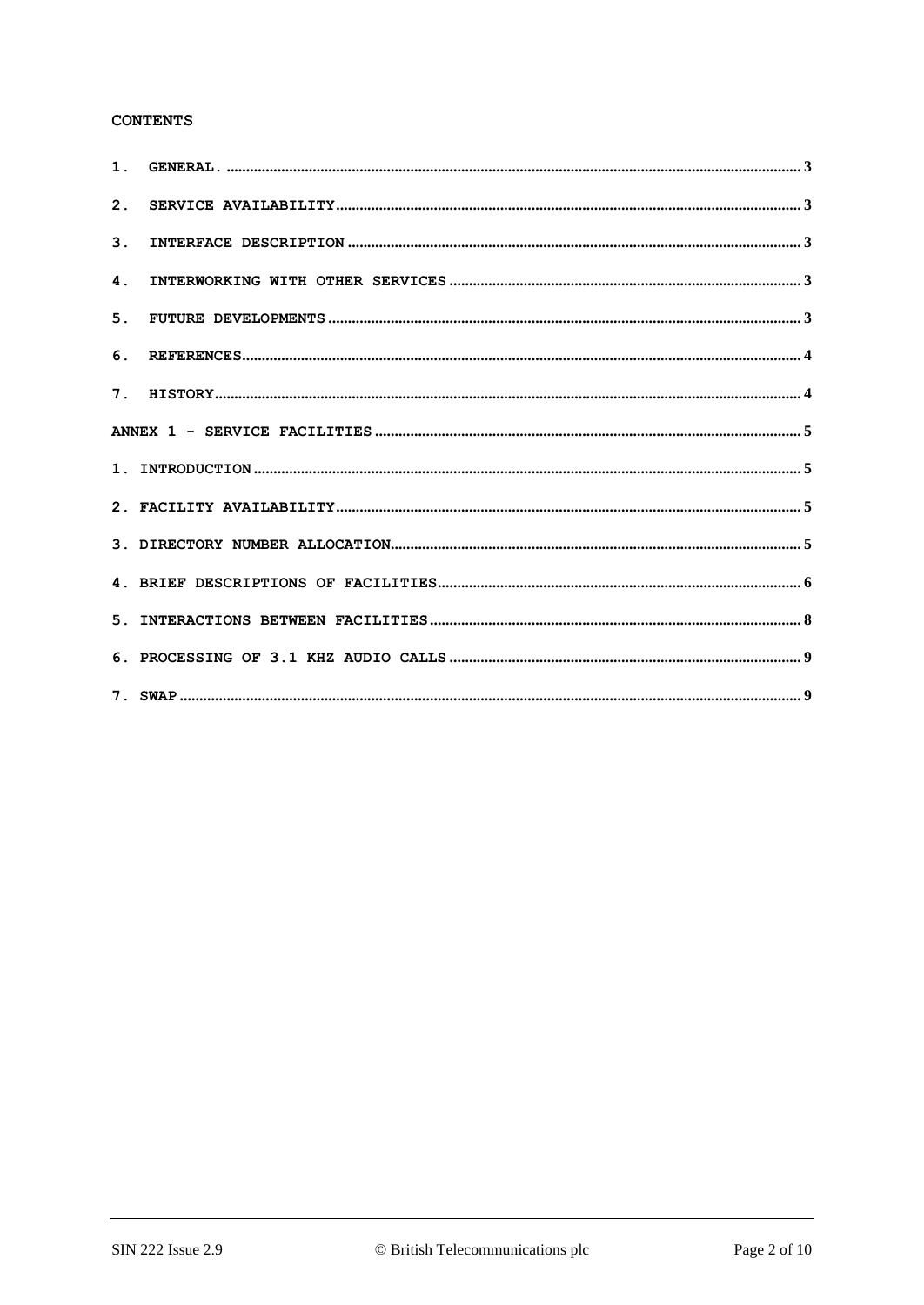# **CONTENTS**

| 2.             |  |
|----------------|--|
| 3 <sub>1</sub> |  |
| $\mathbf 4$ .  |  |
| 5.             |  |
| 6.             |  |
|                |  |
|                |  |
|                |  |
|                |  |
|                |  |
|                |  |
|                |  |
|                |  |
|                |  |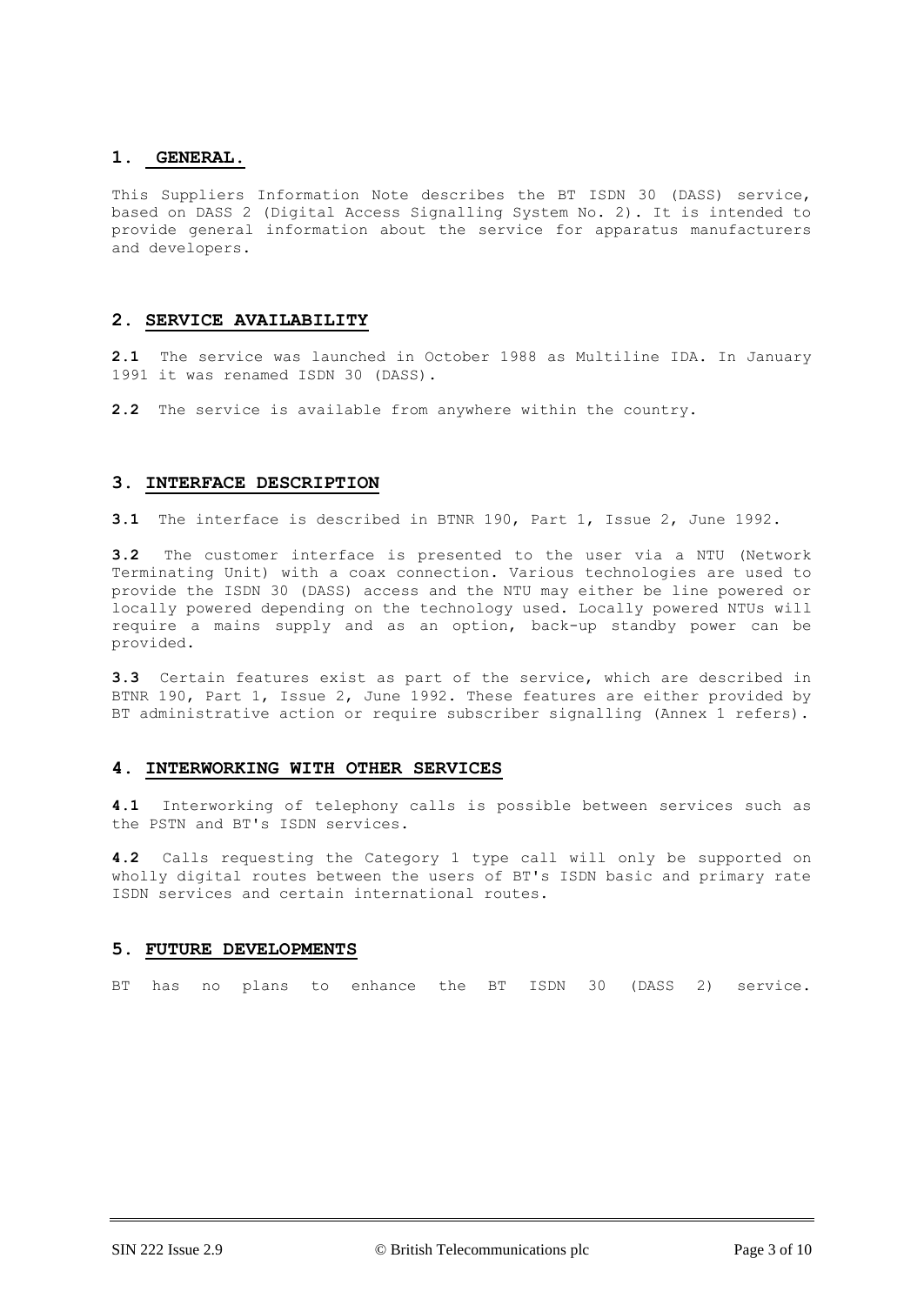# **1. GENERAL.**

This Suppliers Information Note describes the BT ISDN 30 (DASS) service, based on DASS 2 (Digital Access Signalling System No. 2). It is intended to provide general information about the service for apparatus manufacturers and developers.

# **2. SERVICE AVAILABILITY**

**2.1** The service was launched in October 1988 as Multiline IDA. In January 1991 it was renamed ISDN 30 (DASS).

**2.2** The service is available from anywhere within the country.

# **3. INTERFACE DESCRIPTION**

**3.1** The interface is described in BTNR 190, Part 1, Issue 2, June 1992.

**3.2** The customer interface is presented to the user via a NTU (Network Terminating Unit) with a coax connection. Various technologies are used to provide the ISDN 30 (DASS) access and the NTU may either be line powered or locally powered depending on the technology used. Locally powered NTUs will require a mains supply and as an option, back-up standby power can be provided.

**3.3** Certain features exist as part of the service, which are described in BTNR 190, Part 1, Issue 2, June 1992. These features are either provided by BT administrative action or require subscriber signalling (Annex 1 refers).

# **4. INTERWORKING WITH OTHER SERVICES**

**4.1** Interworking of telephony calls is possible between services such as the PSTN and BT's ISDN services.

**4.2** Calls requesting the Category 1 type call will only be supported on wholly digital routes between the users of BT's ISDN basic and primary rate ISDN services and certain international routes.

## **5. FUTURE DEVELOPMENTS**

BT has no plans to enhance the BT ISDN 30 (DASS 2) service.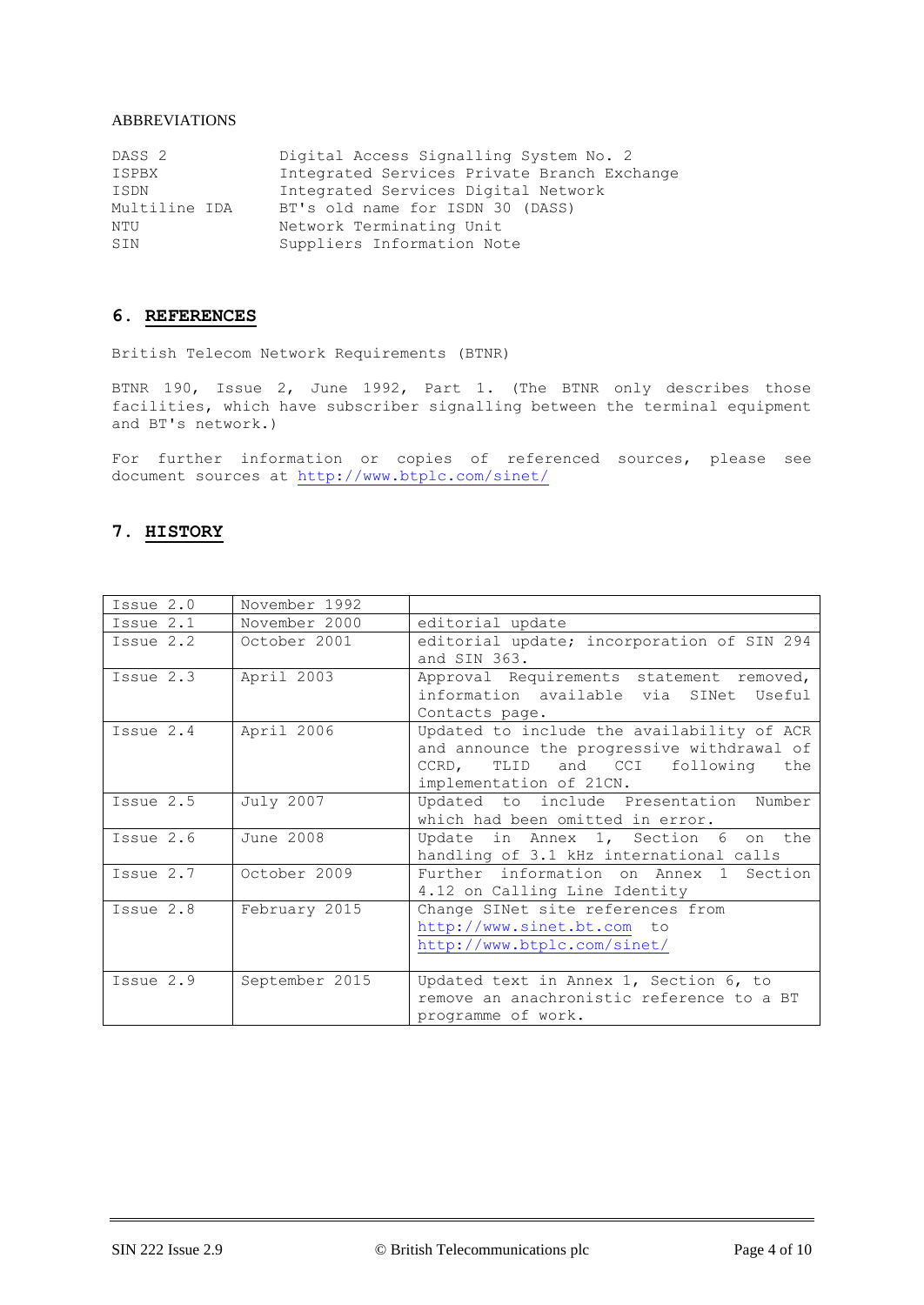# ABBREVIATIONS

| DASS <sub>2</sub> | Digital Access Signalling System No. 2      |
|-------------------|---------------------------------------------|
| ISPBX             | Integrated Services Private Branch Exchange |
| ISDN              | Integrated Services Digital Network         |
| Multiline IDA     | BT's old name for ISDN 30 (DASS)            |
| NTU               | Network Terminating Unit                    |
| SIN               | Suppliers Information Note                  |

# **6. REFERENCES**

British Telecom Network Requirements (BTNR)

BTNR 190, Issue 2, June 1992, Part 1. (The BTNR only describes those facilities, which have subscriber signalling between the terminal equipment and BT's network.)

For further information or copies of referenced sources, please see document sources at<http://www.btplc.com/sinet/>

# **7. HISTORY**

| Issue 2.0   | November 1992  |                                                                                                                                                            |
|-------------|----------------|------------------------------------------------------------------------------------------------------------------------------------------------------------|
| Issue 2.1   | November 2000  | editorial update                                                                                                                                           |
| Issue 2.2   | October 2001   | editorial update; incorporation of SIN 294<br>and SIN 363.                                                                                                 |
| Issue 2.3   | April 2003     | Approval Requirements statement removed,<br>information available via SINet Useful<br>Contacts page.                                                       |
| Issue $2.4$ | April 2006     | Updated to include the availability of ACR<br>and announce the progressive withdrawal of<br>CCRD, TLID and CCI following<br>the<br>implementation of 21CN. |
| Issue 2.5   | July 2007      | Updated to include Presentation Number<br>which had been omitted in error.                                                                                 |
| Issue $2.6$ | June 2008      | Update in Annex 1, Section 6 on the<br>handling of 3.1 kHz international calls                                                                             |
| Issue 2.7   | October 2009   | Further information on Annex 1 Section<br>4.12 on Calling Line Identity                                                                                    |
| Issue 2.8   | February 2015  | Change SINet site references from<br>http://www.sinet.bt.com to<br>http://www.btplc.com/sinet/                                                             |
| Issue $2.9$ | September 2015 | Updated text in Annex 1, Section 6, to<br>remove an anachronistic reference to a BT<br>programme of work.                                                  |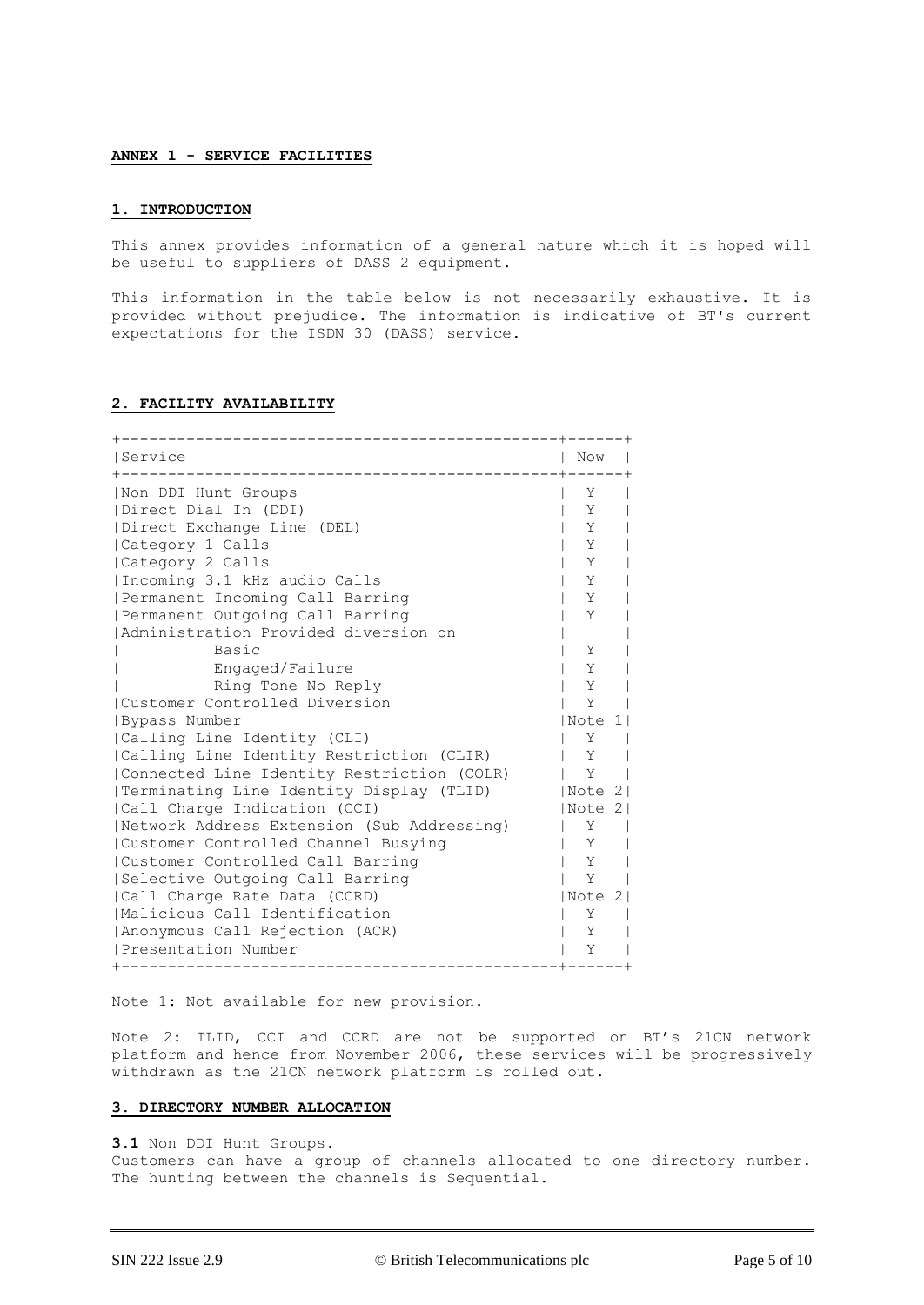#### **ANNEX 1 - SERVICE FACILITIES**

#### **1. INTRODUCTION**

This annex provides information of a general nature which it is hoped will be useful to suppliers of DASS 2 equipment.

This information in the table below is not necessarily exhaustive. It is provided without prejudice. The information is indicative of BT's current expectations for the ISDN 30 (DASS) service.

## **2. FACILITY AVAILABILITY**

| Service                                    | Now     |  |
|--------------------------------------------|---------|--|
| Non DDI Hunt Groups                        | Υ       |  |
| (Direct Dial In (DDI)                      | Y       |  |
| Direct Exchange Line (DEL)                 | Y       |  |
| Category 1 Calls                           | Υ       |  |
| Category 2 Calls                           | Y       |  |
| Incoming 3.1 kHz audio Calls               | Υ       |  |
| Permanent Incoming Call Barring            | Υ       |  |
| Permanent Outgoing Call Barring            | Y       |  |
| Administration Provided diversion on       |         |  |
| Basic                                      | Υ       |  |
| Engaged/Failure                            | Y       |  |
| Ring Tone No Reply                         | Y       |  |
| Customer Controlled Diversion              | Υ       |  |
| Bypass Number                              | Note 1  |  |
| Calling Line Identity (CLI)                | Υ       |  |
| Calling Line Identity Restriction (CLIR)   | Y       |  |
| Connected Line Identity Restriction (COLR) | Υ       |  |
| Terminating Line Identity Display (TLID)   | Note 2  |  |
| Call Charge Indication (CCI)               | Note 2  |  |
| Network Address Extension (Sub Addressing) | Y       |  |
| Customer Controlled Channel Busying        | Y       |  |
| Customer Controlled Call Barring           | Υ       |  |
| Selective Outgoing Call Barring            | Υ       |  |
| Call Charge Rate Data (CCRD)               | Note 21 |  |
| Malicious Call Identification              |         |  |
| Anonymous Call Rejection (ACR)             | Y       |  |
| IPresentation Number<br>----------         | Υ       |  |
|                                            |         |  |

Note 1: Not available for new provision.

Note 2: TLID, CCI and CCRD are not be supported on BT's 21CN network platform and hence from November 2006, these services will be progressively withdrawn as the 21CN network platform is rolled out.

## **3. DIRECTORY NUMBER ALLOCATION**

**3.1** Non DDI Hunt Groups.

Customers can have a group of channels allocated to one directory number. The hunting between the channels is Sequential.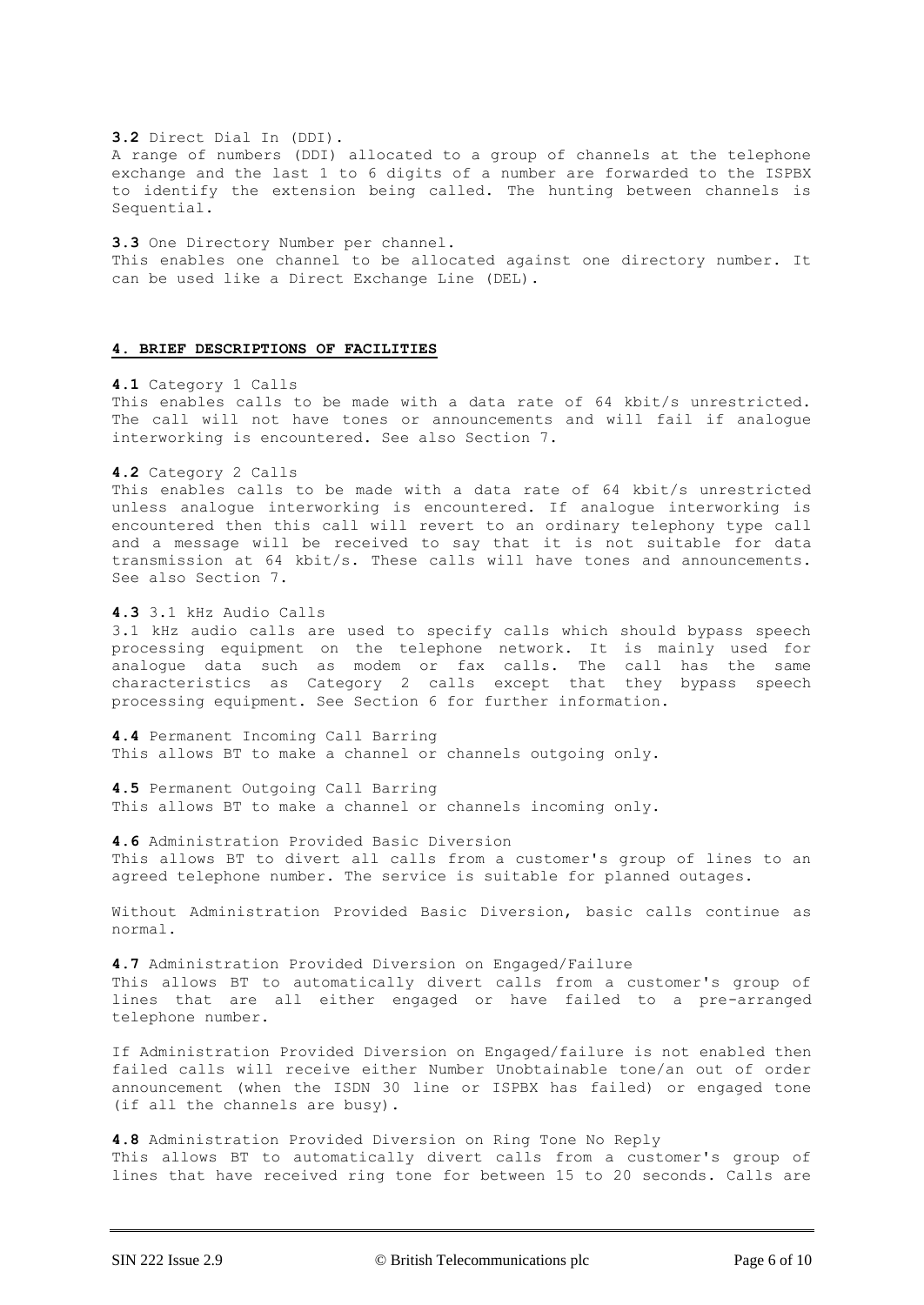**3.2** Direct Dial In (DDI). A range of numbers (DDI) allocated to a group of channels at the telephone exchange and the last 1 to 6 digits of a number are forwarded to the ISPBX to identify the extension being called. The hunting between channels is Sequential.

**3.3** One Directory Number per channel. This enables one channel to be allocated against one directory number. It can be used like a Direct Exchange Line (DEL).

## **4. BRIEF DESCRIPTIONS OF FACILITIES**

**4.1** Category 1 Calls

This enables calls to be made with a data rate of 64 kbit/s unrestricted. The call will not have tones or announcements and will fail if analogue interworking is encountered. See also Section 7.

#### **4.2** Category 2 Calls

This enables calls to be made with a data rate of 64 kbit/s unrestricted unless analogue interworking is encountered. If analogue interworking is encountered then this call will revert to an ordinary telephony type call and a message will be received to say that it is not suitable for data transmission at 64 kbit/s. These calls will have tones and announcements. See also Section 7.

**4.3** 3.1 kHz Audio Calls

3.1 kHz audio calls are used to specify calls which should bypass speech processing equipment on the telephone network. It is mainly used for analogue data such as modem or fax calls. The call has the same characteristics as Category 2 calls except that they bypass speech processing equipment. See Section 6 for further information.

**4.4** Permanent Incoming Call Barring This allows BT to make a channel or channels outgoing only.

**4.5** Permanent Outgoing Call Barring This allows BT to make a channel or channels incoming only.

**4.6** Administration Provided Basic Diversion This allows BT to divert all calls from a customer's group of lines to an agreed telephone number. The service is suitable for planned outages.

Without Administration Provided Basic Diversion, basic calls continue as normal.

**4.7** Administration Provided Diversion on Engaged/Failure This allows BT to automatically divert calls from a customer's group of lines that are all either engaged or have failed to a pre-arranged telephone number.

If Administration Provided Diversion on Engaged/failure is not enabled then failed calls will receive either Number Unobtainable tone/an out of order announcement (when the ISDN 30 line or ISPBX has failed) or engaged tone (if all the channels are busy).

**4.8** Administration Provided Diversion on Ring Tone No Reply This allows BT to automatically divert calls from a customer's group of lines that have received ring tone for between 15 to 20 seconds. Calls are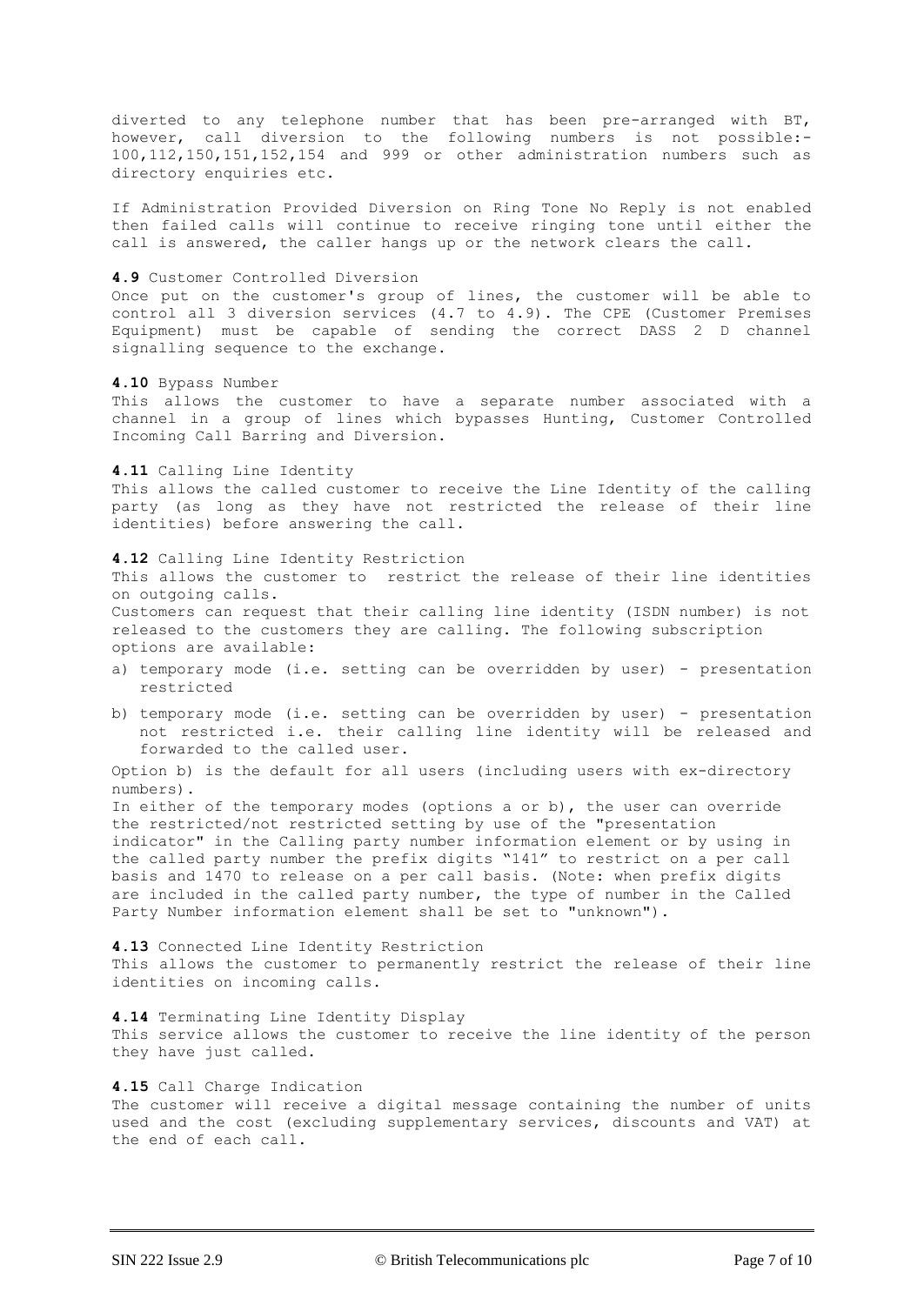diverted to any telephone number that has been pre-arranged with BT, however, call diversion to the following numbers is not possible:- 100,112,150,151,152,154 and 999 or other administration numbers such as directory enquiries etc.

If Administration Provided Diversion on Ring Tone No Reply is not enabled then failed calls will continue to receive ringing tone until either the call is answered, the caller hangs up or the network clears the call.

#### **4.9** Customer Controlled Diversion

Once put on the customer's group of lines, the customer will be able to control all 3 diversion services (4.7 to 4.9). The CPE (Customer Premises Equipment) must be capable of sending the correct DASS 2 D channel signalling sequence to the exchange.

**4.10** Bypass Number

This allows the customer to have a separate number associated with a channel in a group of lines which bypasses Hunting, Customer Controlled Incoming Call Barring and Diversion.

**4.11** Calling Line Identity

This allows the called customer to receive the Line Identity of the calling party (as long as they have not restricted the release of their line identities) before answering the call.

**4.12** Calling Line Identity Restriction This allows the customer to restrict the release of their line identities on outgoing calls. Customers can request that their calling line identity (ISDN number) is not released to the customers they are calling. The following subscription options are available:

- a) temporary mode (i.e. setting can be overridden by user) presentation restricted
- b) temporary mode (i.e. setting can be overridden by user) presentation not restricted i.e. their calling line identity will be released and forwarded to the called user.

Option b) is the default for all users (including users with ex-directory numbers).

In either of the temporary modes (options a or b), the user can override the restricted/not restricted setting by use of the "presentation indicator" in the Calling party number information element or by using in the called party number the prefix digits "141" to restrict on a per call basis and 1470 to release on a per call basis. (Note: when prefix digits are included in the called party number, the type of number in the Called Party Number information element shall be set to "unknown").

**4.13** Connected Line Identity Restriction This allows the customer to permanently restrict the release of their line identities on incoming calls.

**4.14** Terminating Line Identity Display This service allows the customer to receive the line identity of the person they have just called.

#### **4.15** Call Charge Indication

The customer will receive a digital message containing the number of units used and the cost (excluding supplementary services, discounts and VAT) at the end of each call.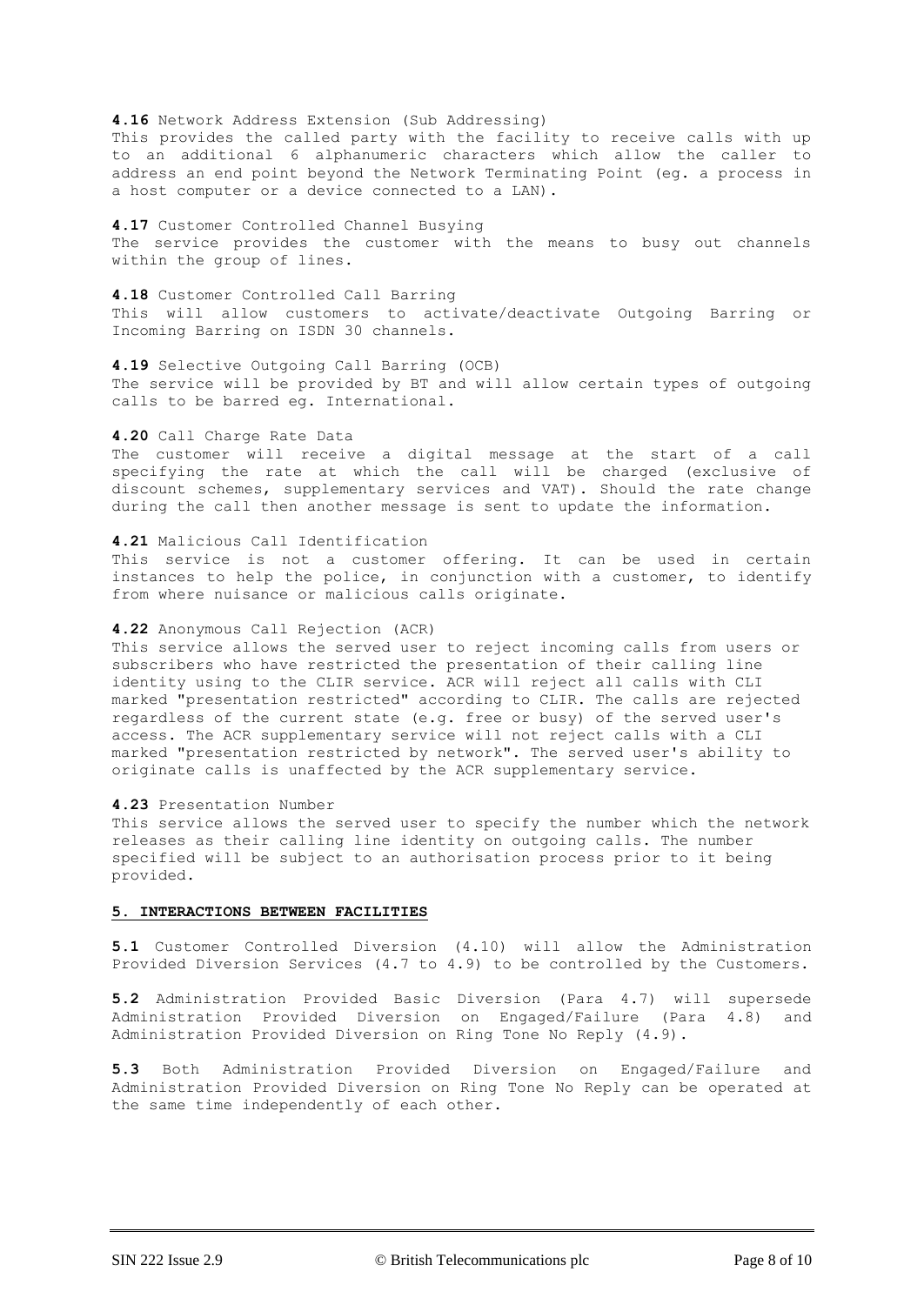**4.16** Network Address Extension (Sub Addressing) This provides the called party with the facility to receive calls with up to an additional 6 alphanumeric characters which allow the caller to address an end point beyond the Network Terminating Point (eg. a process in a host computer or a device connected to a LAN).

**4.17** Customer Controlled Channel Busying The service provides the customer with the means to busy out channels within the group of lines.

**4.18** Customer Controlled Call Barring This will allow customers to activate/deactivate Outgoing Barring or Incoming Barring on ISDN 30 channels.

**4.19** Selective Outgoing Call Barring (OCB) The service will be provided by BT and will allow certain types of outgoing calls to be barred eg. International.

#### **4.20** Call Charge Rate Data

The customer will receive a digital message at the start of a call specifying the rate at which the call will be charged (exclusive of discount schemes, supplementary services and VAT). Should the rate change during the call then another message is sent to update the information.

#### **4.21** Malicious Call Identification

This service is not a customer offering. It can be used in certain instances to help the police, in conjunction with a customer, to identify from where nuisance or malicious calls originate.

#### **4.22** Anonymous Call Rejection (ACR)

This service allows the served user to reject incoming calls from users or subscribers who have restricted the presentation of their calling line identity using to the CLIR service. ACR will reject all calls with CLI marked "presentation restricted" according to CLIR. The calls are rejected regardless of the current state (e.g. free or busy) of the served user's access. The ACR supplementary service will not reject calls with a CLI marked "presentation restricted by network". The served user's ability to originate calls is unaffected by the ACR supplementary service.

# **4.23** Presentation Number

This service allows the served user to specify the number which the network releases as their calling line identity on outgoing calls. The number specified will be subject to an authorisation process prior to it being provided.

## **5. INTERACTIONS BETWEEN FACILITIES**

**5.1** Customer Controlled Diversion (4.10) will allow the Administration Provided Diversion Services (4.7 to 4.9) to be controlled by the Customers.

**5.2** Administration Provided Basic Diversion (Para 4.7) will supersede Administration Provided Diversion on Engaged/Failure (Para 4.8) and Administration Provided Diversion on Ring Tone No Reply (4.9).

**5.3** Both Administration Provided Diversion on Engaged/Failure and Administration Provided Diversion on Ring Tone No Reply can be operated at the same time independently of each other.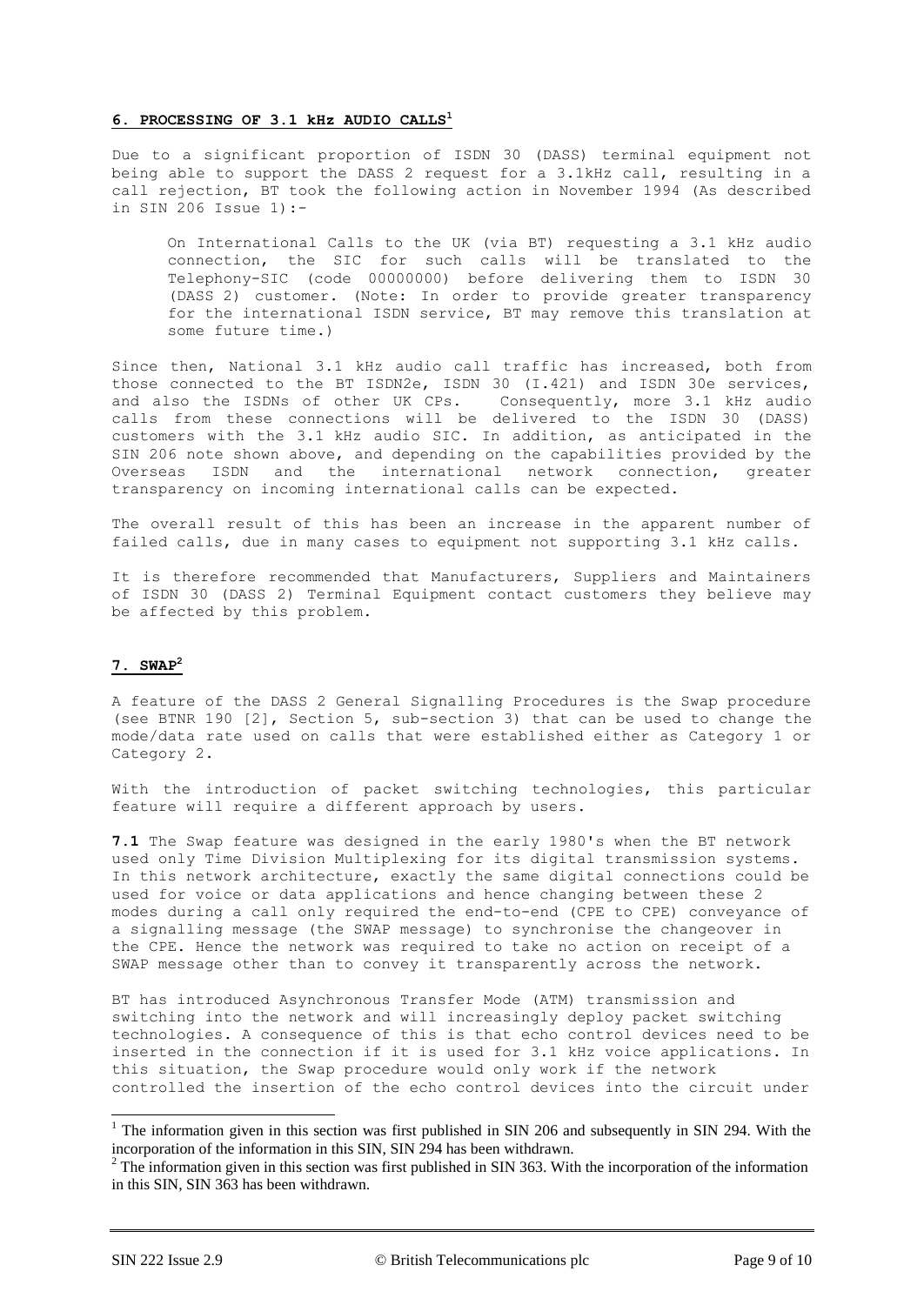## **6. PROCESSING OF 3.1 kHz AUDIO CALLS<sup>1</sup>**

Due to a significant proportion of ISDN 30 (DASS) terminal equipment not being able to support the DASS 2 request for a 3.1kHz call, resulting in a call rejection, BT took the following action in November 1994 (As described in SIN 206 Issue 1):-

On International Calls to the UK (via BT) requesting a 3.1 kHz audio connection, the SIC for such calls will be translated to the Telephony-SIC (code 00000000) before delivering them to ISDN 30 (DASS 2) customer. (Note: In order to provide greater transparency for the international ISDN service, BT may remove this translation at some future time.)

Since then, National 3.1 kHz audio call traffic has increased, both from those connected to the BT ISDN2e, ISDN 30 (I.421) and ISDN 30e services, and also the ISDNs of other UK CPs. Consequently, more 3.1 kHz audio calls from these connections will be delivered to the ISDN 30 (DASS) customers with the 3.1 kHz audio SIC. In addition, as anticipated in the SIN 206 note shown above, and depending on the capabilities provided by the Overseas ISDN and the international network connection, greater transparency on incoming international calls can be expected.

The overall result of this has been an increase in the apparent number of failed calls, due in many cases to equipment not supporting 3.1 kHz calls.

It is therefore recommended that Manufacturers, Suppliers and Maintainers of ISDN 30 (DASS 2) Terminal Equipment contact customers they believe may be affected by this problem.

# **7. SWAP<sup>2</sup>**

A feature of the DASS 2 General Signalling Procedures is the Swap procedure (see BTNR 190 [2], Section 5, sub-section 3) that can be used to change the mode/data rate used on calls that were established either as Category 1 or Category 2.

With the introduction of packet switching technologies, this particular feature will require a different approach by users.

**7.1** The Swap feature was designed in the early 1980's when the BT network used only Time Division Multiplexing for its digital transmission systems. In this network architecture, exactly the same digital connections could be used for voice or data applications and hence changing between these 2 modes during a call only required the end-to-end (CPE to CPE) conveyance of a signalling message (the SWAP message) to synchronise the changeover in the CPE. Hence the network was required to take no action on receipt of a SWAP message other than to convey it transparently across the network.

BT has introduced Asynchronous Transfer Mode (ATM) transmission and switching into the network and will increasingly deploy packet switching technologies. A consequence of this is that echo control devices need to be inserted in the connection if it is used for 3.1 kHz voice applications. In this situation, the Swap procedure would only work if the network controlled the insertion of the echo control devices into the circuit under

-

<sup>&</sup>lt;sup>1</sup> The information given in this section was first published in SIN 206 and subsequently in SIN 294. With the incorporation of the information in this SIN, SIN 294 has been withdrawn.

 $2$  The information given in this section was first published in SIN 363. With the incorporation of the information in this SIN, SIN 363 has been withdrawn.